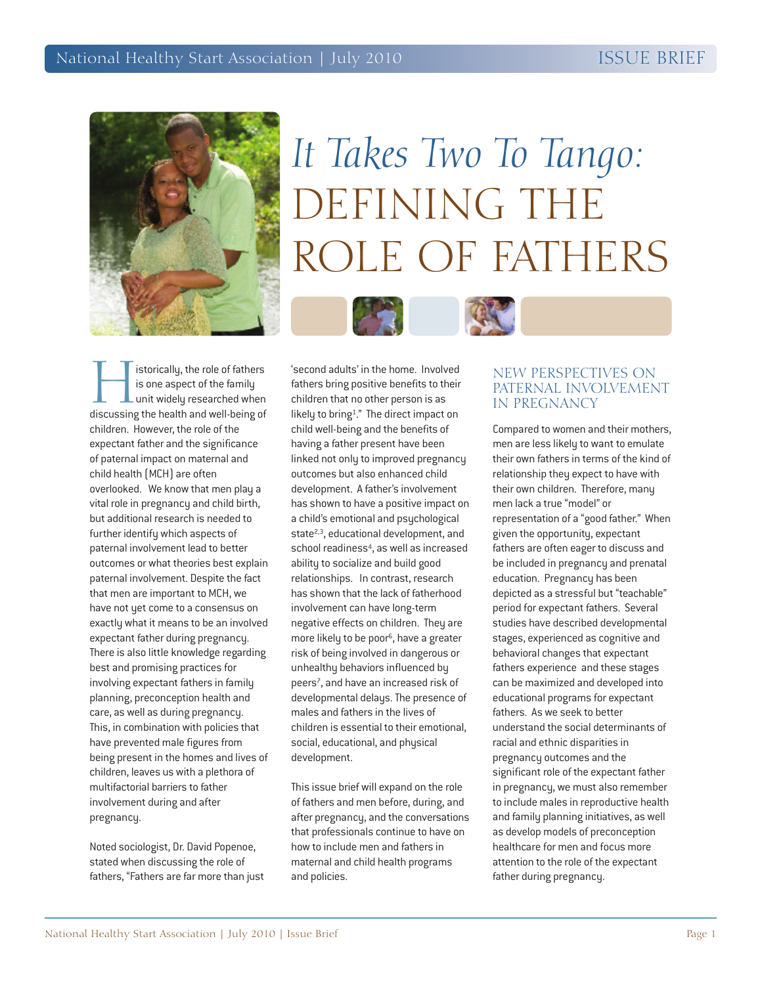

# *It Takes Two To Tango:* DEFINING THE ROLE OF FATHERS



Instorically, the role of fathers<br>is one aspect of the family<br>unit widely researched when<br>discussing the health and well-being of is one aspect of the family  $\blacksquare$  unit widely researched when children. However, the role of the expectant father and the significance of paternal impact on maternal and child health (MCH) are often overlooked. We know that men play a vital role in pregnancy and child birth, but additional research is needed to further identify which aspects of paternal involvement lead to better outcomes or what theories best explain paternal involvement. Despite the fact that men are important to MCH, we have not yet come to a consensus on exactly what it means to be an involved expectant father during pregnancy. There is also little knowledge regarding best and promising practices for involving expectant fathers in family planning, preconception health and care, as well as during pregnancy. This, in combination with policies that have prevented male figures from being present in the homes and lives of children, leaves us with a plethora of multifactorial barriers to father involvement during and after

## pregnancy.

Noted sociologist, Dr. David Popenoe, stated when discussing the role of fathers, "Fathers are far more than just

'second adults' in the home. Involved fathers bring positive benefits to their children that no other person is as likely to bring1." The direct impact on child well-being and the benefits of having a father present have been linked not only to improved pregnancy outcomes but also enhanced child development. A father's involvement has shown to have a positive impact on a child's emotional and psychological state<sup>2,3</sup>, educational development, and school readiness<sup>4</sup>, as well as increased ability to socialize and build good relationships. In contrast, research has shown that the lack of fatherhood involvement can have long-term negative effects on children. They are more likely to be poor<sup>6</sup>, have a greater risk of being involved in dangerous or unhealthy behaviors influenced by peers<sup>7</sup>, and have an increased risk of developmental delays. The presence of males and fathers in the lives of children is essential to their emotional, social, educational, and physical development.

This issue brief will expand on the role of fathers and men before, during, and after pregnancy, and the conversations that professionals continue to have on how to include men and fathers in maternal and child health programs and policies.

## NEW PERSPECTIVES ON PATERNAL INVOLVEMENT IN PREGNANCY

Compared to women and their mothers, men are less likely to want to emulate their own fathers in terms of the kind of relationship they expect to have with their own children. Therefore, many men lack a true "model" or representation of a "good father." When given the opportunity, expectant fathers are often eager to discuss and be included in pregnancy and prenatal education. Pregnancy has been depicted as a stressful but "teachable" period for expectant fathers. Several studies have described developmental stages, experienced as cognitive and behavioral changes that expectant fathers experience and these stages can be maximized and developed into educational programs for expectant fathers. As we seek to better understand the social determinants of racial and ethnic disparities in pregnancy outcomes and the significant role of the expectant father in pregnancy, we must also remember to include males in reproductive health and family planning initiatives, as well as develop models of preconception healthcare for men and focus more attention to the role of the expectant father during pregnancy.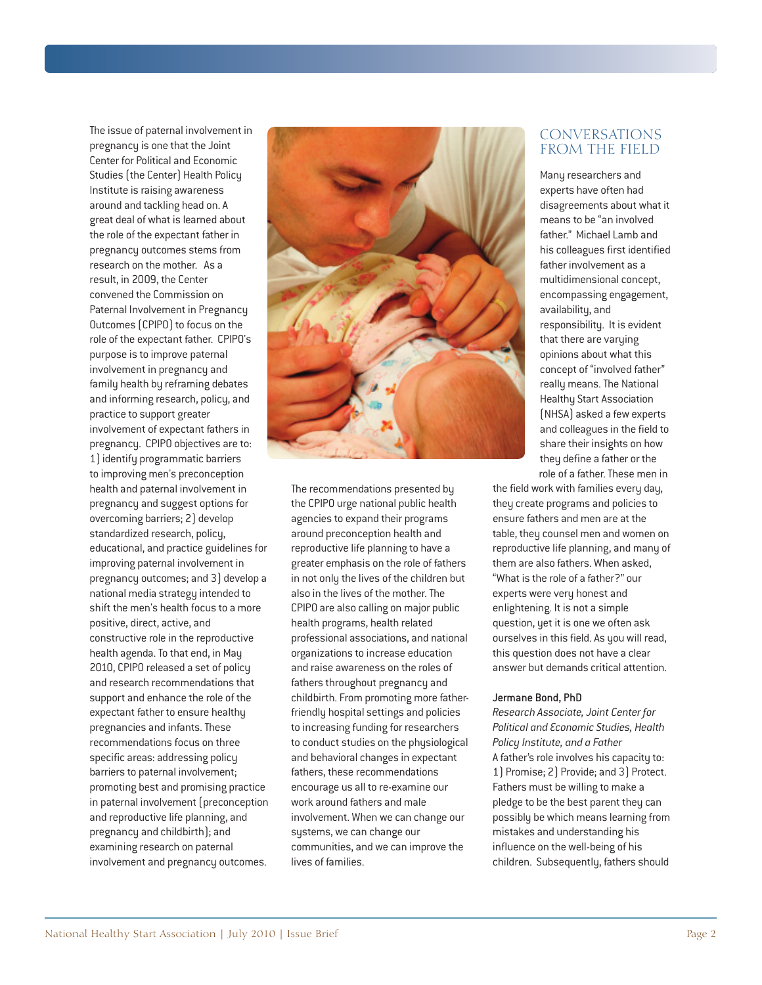The issue of paternal involvement in pregnancy is one that the Joint Center for Political and Economic Studies (the Center) Health Policy Institute is raising awareness around and tackling head on. A great deal of what is learned about the role of the expectant father in pregnancy outcomes stems from research on the mother. As a result, in 2009, the Center convened the Commission on Paternal Involvement in Pregnancy Outcomes (CPIPO) to focus on the role of the expectant father. CPIPO's purpose is to improve paternal involvement in pregnancy and family health by reframing debates and informing research, policy, and practice to support greater involvement of expectant fathers in pregnancy. CPIPO objectives are to: 1) identify programmatic barriers to improving men's preconception health and paternal involvement in pregnancy and suggest options for overcoming barriers; 2) develop standardized research, policy, educational, and practice guidelines for improving paternal involvement in pregnancy outcomes; and 3) develop a national media strategy intended to shift the men's health focus to a more positive, direct, active, and constructive role in the reproductive health agenda. To that end, in May 2010, CPIPO released a set of policy and research recommendations that support and enhance the role of the expectant father to ensure healthy pregnancies and infants.These recommendations focus on three specific areas: addressing policy barriers to paternal involvement; promoting best and promising practice in paternal involvement (preconception and reproductive life planning, and pregnancy and childbirth); and examining research on paternal involvement and pregnancy outcomes.



The recommendations presented by the CPIPO urge national public health agencies to expand their programs around preconception health and reproductive life planning to have a greater emphasis on the role of fathers in not only the lives of the children but also in the lives of the mother. The CPIPO are also calling on major public health programs, health related professional associations, and national organizations to increase education and raise awareness on the roles of fathers throughout pregnancy and childbirth. From promoting more fatherfriendly hospital settings and policies to increasing funding for researchers to conduct studies on the physiological and behavioral changes in expectant fathers, these recommendations encourage us all to re-examine our work around fathers and male involvement. When we can change our systems, we can change our communities, and we can improve the lives of families.

## CONVERSATIONS FROM THE FIELD

Many researchers and experts have often had disagreements about what it means to be "an involved father." Michael Lamb and his colleagues first identified father involvement as a multidimensional concept, encompassing engagement, availability, and responsibility. It is evident that there are varying opinions about what this concept of "involved father" really means. The National Healthy Start Association (NHSA) asked a few experts and colleagues in the field to share their insights on how they define a father or the role of a father. These men in

the field work with families every day, they create programs and policies to ensure fathers and men are at the table, they counsel men and women on reproductive life planning, and many of them are also fathers. When asked, "What is the role of a father?" our experts were very honest and enlightening. It is not a simple question, yet it is one we often ask ourselves in this field. As you will read, this question does not have a clear answer but demands critical attention.

#### Jermane Bond, PhD

*Research Associate, Joint Center for Political and Economic Studies, Health Policy Institute, and a Father* A father's role involves his capacity to: 1) Promise; 2) Provide; and 3) Protect. Fathers must be willing to make a pledge to be the best parent they can possibly be which means learning from mistakes and understanding his influence on the well-being of his children. Subsequently, fathers should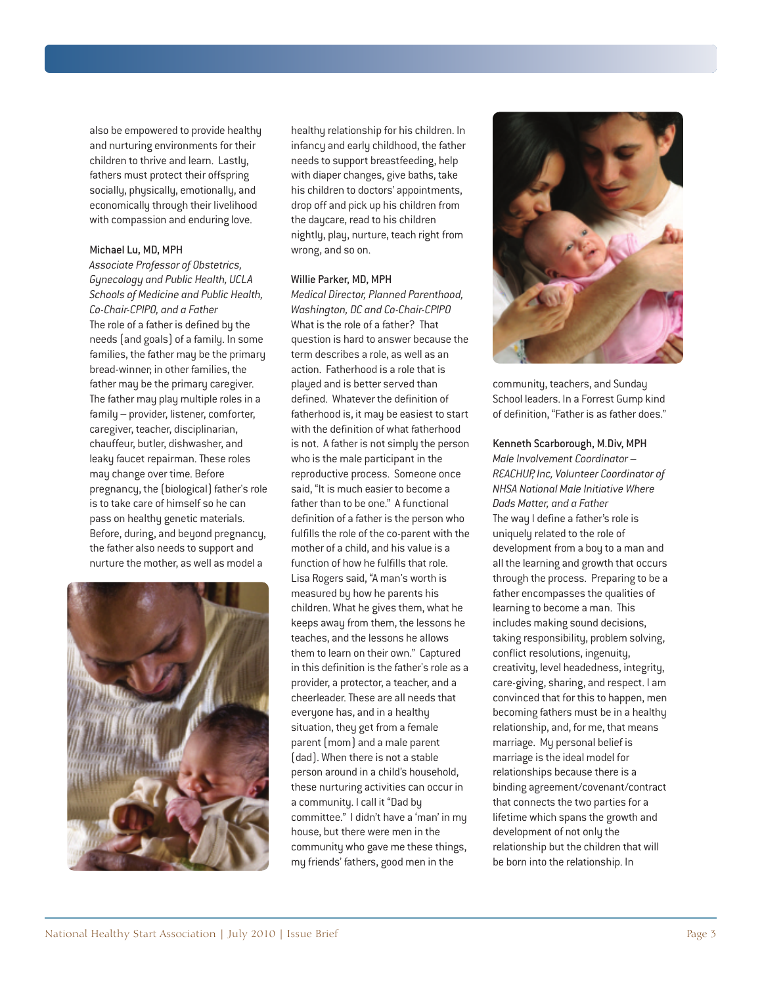also be empowered to provide healthy and nurturing environments for their children to thrive and learn. Lastly, fathers must protect their offspring socially, physically, emotionally, and economically through their livelihood with compassion and enduring love.

#### Michael Lu, MD, MPH

*Associate Professor of Obstetrics, Gynecology and Public Health, UCLA Schools of Medicine and Public Health, Co-Chair-CPIPO, and a Father* The role of a father is defined by the needs (and goals) of a family. In some families, the father may be the primary bread-winner; in other families, the father may be the primary caregiver. The father may play multiple roles in a family – provider, listener, comforter, caregiver, teacher, disciplinarian, chauffeur, butler, dishwasher, and leaky faucet repairman. These roles may change over time. Before pregnancy, the (biological) father's role is to take care of himself so he can pass on healthy genetic materials. Before, during, and beyond pregnancy, the father also needs to support and nurture the mother, as well as model a



healthy relationship for his children. In infancy and early childhood, the father needs to support breastfeeding, help with diaper changes, give baths, take his children to doctors' appointments, drop off and pick up his children from the daycare, read to his children nightly, play, nurture, teach right from wrong, and so on.

#### Willie Parker, MD, MPH

*Medical Director, Planned Parenthood, Washington, DC and Co-Chair-CPIPO* What is the role of a father? That question is hard to answer because the term describes a role, as well as an action. Fatherhood is a role that is played and is better served than defined. Whatever the definition of fatherhood is, it may be easiest to start with the definition of what fatherhood is not. A father is not simply the person who is the male participant in the reproductive process. Someone once said, "It is much easier to become a father than to be one." A functional definition of a father is the person who fulfills the role of the co-parent with the mother of a child, and his value is a function of how he fulfills that role. Lisa Rogers said, "A man's worth is measured by how he parents his children. What he gives them, what he keeps away from them, the lessons he teaches, and the lessons he allows them to learn on their own." Captured in this definition is the father's role as a provider, a protector, a teacher, and a cheerleader. These are all needs that everyone has, and in a healthy situation, they get from a female parent(mom) and a male parent (dad). When there is not a stable person around in a child's household, these nurturing activities can occur in a community. I call it "Dad by committee." I didn't have a 'man' in my house, but there were men in the community who gave me these things, my friends' fathers, good men in the



community, teachers, and Sunday School leaders. In a Forrest Gump kind of definition, "Father is as father does."

#### Kenneth Scarborough, M.Div, MPH

*Male Involvement Coordinator – REACHUP, Inc, Volunteer Coordinator of NHSA National Male Initiative Where Dads Matter, and a Father* The way I define a father's role is uniquely related to the role of development from a boy to a man and all the learning and growth that occurs through the process. Preparing to be a father encompasses the qualities of learning to become a man. This includes making sound decisions, taking responsibility, problem solving, conflict resolutions, ingenuity, creativity, level headedness, integrity, care-giving, sharing, and respect. I am convinced that for this to happen, men becoming fathers must be in a healthy relationship, and, for me, that means marriage. My personal belief is marriage is the ideal model for relationships because there is a binding agreement/covenant/contract that connects the two parties for a lifetime which spans the growth and development of not only the relationship but the children that will be born into the relationship. In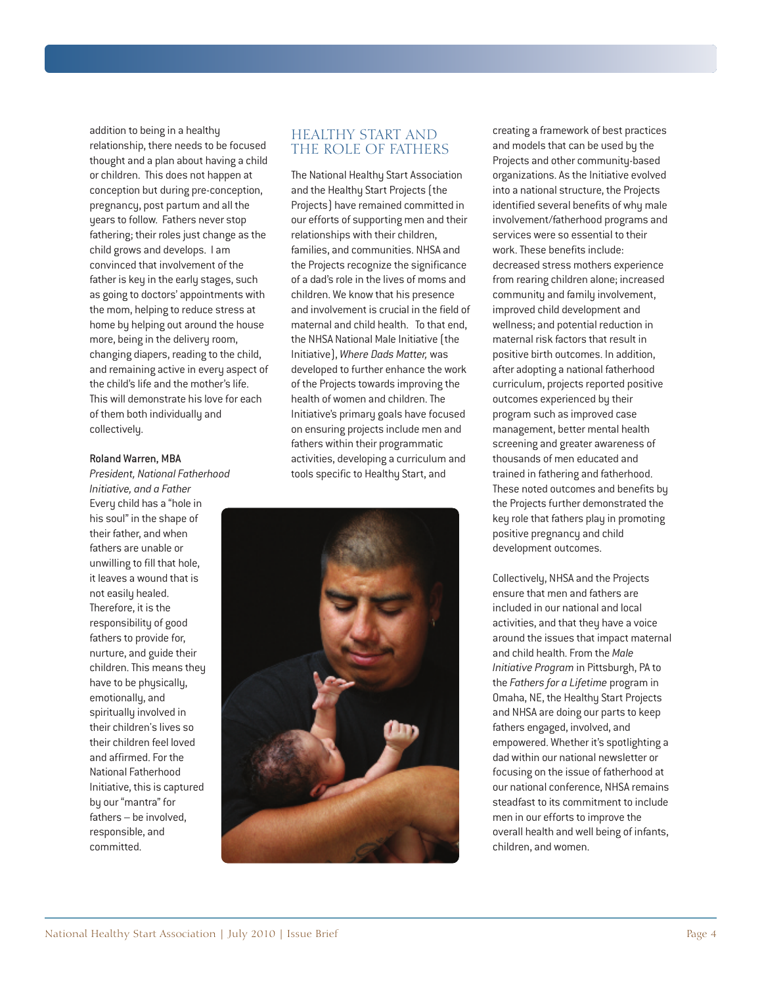addition to being in a healthy relationship, there needs to be focused thought and a plan about having a child or children. This does not happen at conception but during pre-conception, pregnancy, post partum and all the years to follow. Fathers never stop fathering; their roles just change as the child grows and develops. I am convinced that involvement of the father is key in the early stages, such as going to doctors' appointments with the mom, helping to reduce stress at home by helping out around the house more, being in the delivery room, changing diapers, reading to the child, and remaining active in every aspect of the child's life and the mother's life. This will demonstrate his love for each of them both individually and collectively.

#### Roland Warren, MBA

*President, National Fatherhood Initiative, and a Father* Every child has a "hole in his soul" in the shape of their father, and when fathers are unable or unwilling to fill that hole, it leaves a wound that is not easily healed. Therefore, it is the responsibility of good fathers to provide for, nurture, and guide their children. This means they have to be physically, emotionally, and spiritually involved in their children's lives so their children feel loved and affirmed. For the National Fatherhood Initiative, this is captured by our "mantra" for fathers – be involved, responsible, and committed.

## HEALTHY START AND THE ROLE OF FATHERS

The National Healthy Start Association and the Healthy Start Projects (the Projects) have remained committed in our efforts of supporting men and their relationships with their children, families, and communities. NHSA and the Projects recognize the significance of a dad's role in the lives of moms and children. We know that his presence and involvement is crucial in the field of maternal and child health. To that end, the NHSA National Male Initiative (the Initiative), *Where Dads Matter,* was developed to further enhance the work of the Projects towards improving the health of women and children. The Initiative's primary goals have focused on ensuring projects include men and fathers within their programmatic activities, developing a curriculum and tools specific to Healthy Start, and



creating a framework of best practices and models that can be used by the Projects and other community-based organizations. As the Initiative evolved into a national structure, the Projects identified several benefits of why male involvement/fatherhood programs and services were so essential to their work.These benefits include: decreased stress mothers experience from rearing children alone; increased community and family involvement, improved child development and wellness; and potential reduction in maternal risk factors that result in positive birth outcomes. In addition, after adopting a national fatherhood curriculum, projects reported positive outcomes experienced by their program such as improved case management, better mental health screening and greater awareness of thousands of men educated and trained in fathering and fatherhood. These noted outcomes and benefits by the Projects further demonstrated the key role that fathers play in promoting positive pregnancy and child development outcomes.

Collectively, NHSA and the Projects ensure that men and fathers are included in our national and local activities, and that they have a voice around the issues that impact maternal and child health. From the *Male Initiative Program* in Pittsburgh, PA to the *Fathers for a Lifetime* program in Omaha, NE, the Healthy Start Projects and NHSA are doing our parts to keep fathers engaged, involved, and empowered. Whether it's spotlighting a dad within our national newsletter or focusing on the issue of fatherhood at our national conference, NHSA remains steadfast to its commitment to include men in our efforts to improve the overall health and well being of infants, children, and women.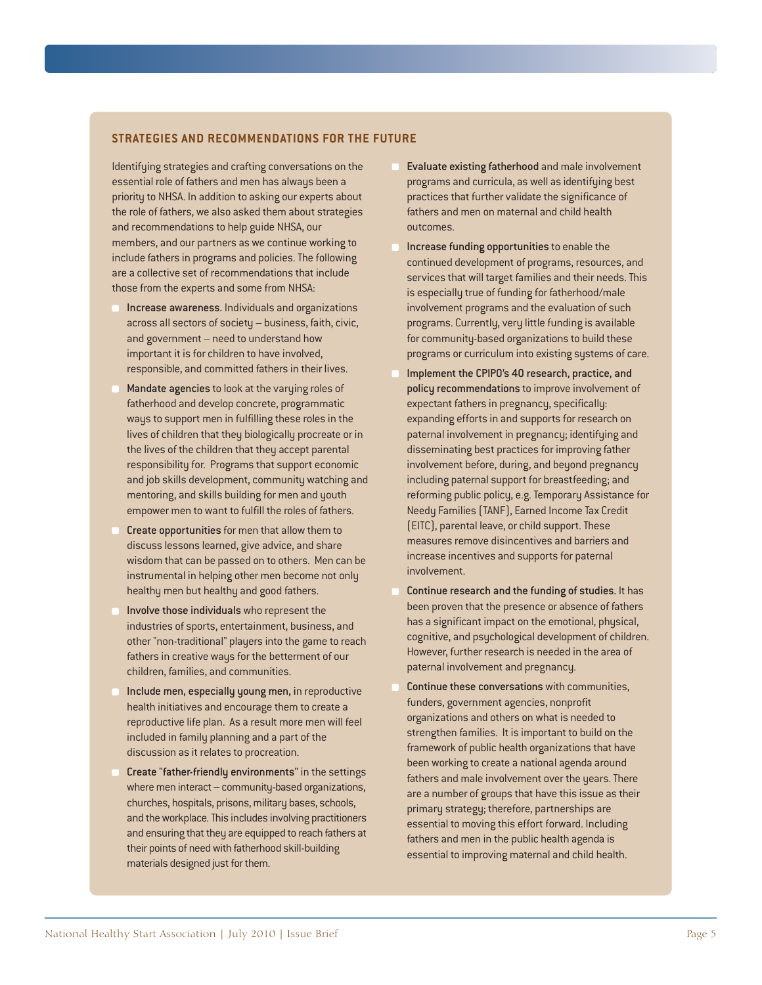### **STRATEGIES AND RECOMMENDATIONS FOR THE FUTURE**

Identifying strategies and crafting conversations on the essential role of fathers and men has always been a priority to NHSA. In addition to asking our experts about the role of fathers, we also asked them about strategies and recommendations to help guide NHSA, our members, and our partners as we continue working to include fathers in programs and policies. The following are a collective set of recommendations that include those from the experts and some from NHSA:

- Increase awareness. Individuals and organizations across all sectors of society – business, faith, civic, and government – need to understand how important it is for children to have involved, responsible, and committed fathers in their lives.
- Mandate agencies to look at the varying roles of fatherhood and develop concrete, programmatic ways to support men in fulfilling these roles in the lives of children that they biologically procreate or in the lives of the children that they accept parental responsibility for. Programs that support economic and job skills development, community watching and mentoring, and skills building for men and youth empower men to want to fulfill the roles of fathers.
- Create opportunities for men that allow them to discuss lessons learned, give advice, and share wisdom that can be passed on to others. Men can be instrumental in helping other men become not only healthy men but healthy and good fathers.
- Involve those individuals who represent the industries of sports, entertainment, business, and other "non-traditional" players into the game to reach fathers in creative ways for the betterment of our children, families, and communities.
- Include men, especially young men, in reproductive health initiatives and encourage them to create a reproductive life plan. As a result more men will feel included in family planning and a part of the discussion as it relates to procreation.
- Create "father-friendly environments" in the settings where men interact – community-based organizations, churches, hospitals, prisons, military bases, schools, and the workplace. This includes involving practitioners and ensuring that they are equipped to reach fathers at their points of need with fatherhood skill-building materials designed just for them.
- Evaluate existing fatherhood and male involvement programs and curricula, as well as identifying best practices that further validate the significance of fathers and men on maternal and child health outcomes.
- Increase funding opportunities to enable the continued development of programs, resources, and services that will target families and their needs.This is especially true of funding for fatherhood/male involvement programs and the evaluation of such programs. Currently, very little funding is available for community-based organizations to build these programs or curriculum into existing systems of care.
- Implement the CPIPO's 40 research, practice, and policy recommendations to improve involvement of expectant fathers in pregnancy, specifically: expanding efforts in and supports for research on paternal involvement in pregnancy; identifying and disseminating best practices for improving father involvement before, during, and beyond pregnancy including paternal support for breastfeeding; and reforming public policy, e.g. Temporary Assistance for Needy Families (TANF), Earned Income Tax Credit (EITC), parental leave, or child support.These measures remove disincentives and barriers and increase incentives and supports for paternal involvement.
- Continue research and the funding of studies. It has been proven that the presence or absence of fathers has a significant impact on the emotional, physical, cognitive, and psychological development of children. However, further research is needed in the area of paternal involvement and pregnancy.
- Continue these conversations with communities, funders, government agencies, nonprofit organizations and others on what is needed to strengthen families. It is important to build on the framework of public health organizations that have been working to create a national agenda around fathers and male involvement over the years. There are a number of groups that have this issue as their primary strategy; therefore, partnerships are essential to moving this effort forward. Including fathers and men in the public health agenda is essential to improving maternal and child health.